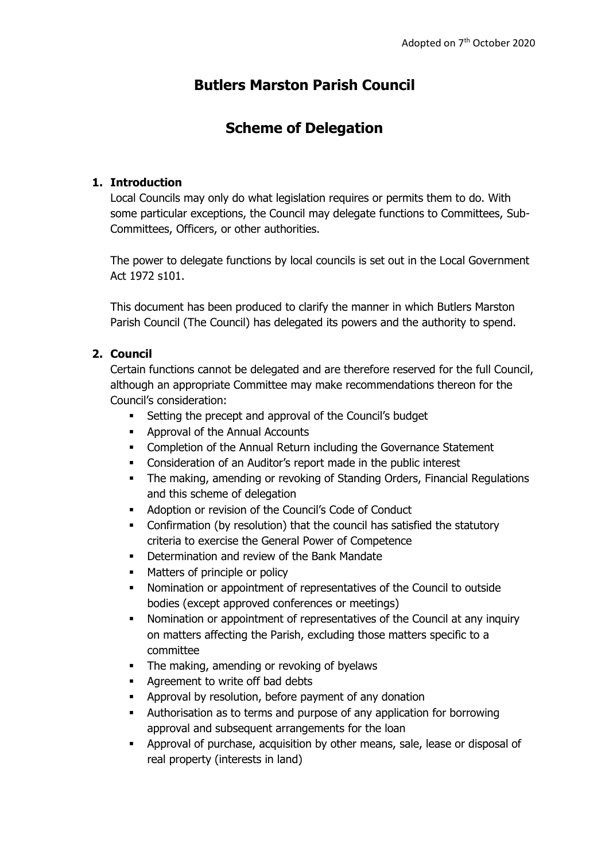# **Butlers Marston Parish Council**

## **Scheme of Delegation**

#### **1. Introduction**

Local Councils may only do what legislation requires or permits them to do. With some particular exceptions, the Council may delegate functions to Committees, Sub-Committees, Officers, or other authorities.

The power to delegate functions by local councils is set out in the Local Government Act 1972 s101.

This document has been produced to clarify the manner in which Butlers Marston Parish Council (The Council) has delegated its powers and the authority to spend.

### **2. Council**

Certain functions cannot be delegated and are therefore reserved for the full Council, although an appropriate Committee may make recommendations thereon for the Council's consideration:

- Setting the precept and approval of the Council's budget
- Approval of the Annual Accounts
- Completion of the Annual Return including the Governance Statement
- **•** Consideration of an Auditor's report made in the public interest
- The making, amending or revoking of Standing Orders, Financial Regulations and this scheme of delegation
- Adoption or revision of the Council's Code of Conduct
- Confirmation (by resolution) that the council has satisfied the statutory criteria to exercise the General Power of Competence
- Determination and review of the Bank Mandate
- Matters of principle or policy
- Nomination or appointment of representatives of the Council to outside bodies (except approved conferences or meetings)
- Nomination or appointment of representatives of the Council at any inquiry on matters affecting the Parish, excluding those matters specific to a committee
- **•** The making, amending or revoking of byelaws
- Agreement to write off bad debts
- Approval by resolution, before payment of any donation
- Authorisation as to terms and purpose of any application for borrowing approval and subsequent arrangements for the loan
- Approval of purchase, acquisition by other means, sale, lease or disposal of real property (interests in land)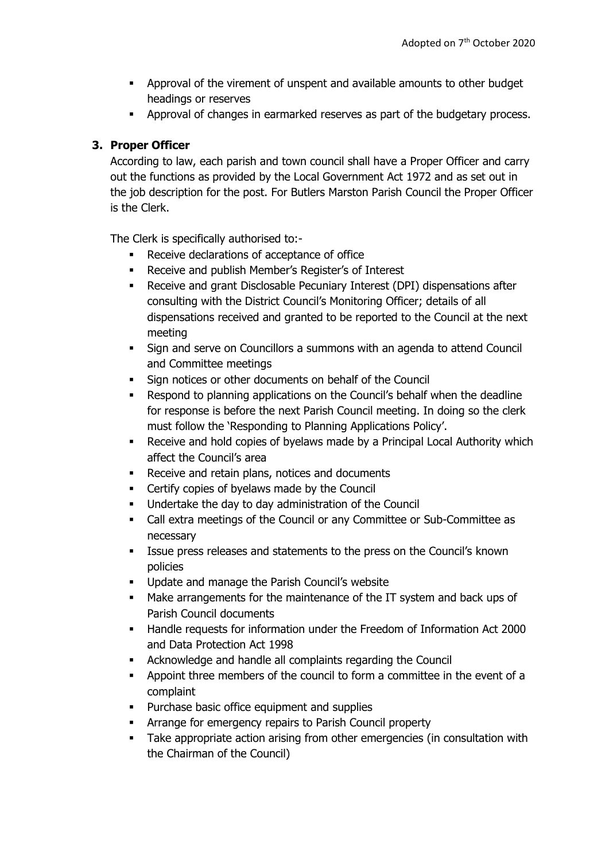- Approval of the virement of unspent and available amounts to other budget headings or reserves
- Approval of changes in earmarked reserves as part of the budgetary process.

#### **3. Proper Officer**

According to law, each parish and town council shall have a Proper Officer and carry out the functions as provided by the Local Government Act 1972 and as set out in the job description for the post. For Butlers Marston Parish Council the Proper Officer is the Clerk.

The Clerk is specifically authorised to:-

- Receive declarations of acceptance of office
- Receive and publish Member's Register's of Interest
- **•** Receive and grant Disclosable Pecuniary Interest (DPI) dispensations after consulting with the District Council's Monitoring Officer; details of all dispensations received and granted to be reported to the Council at the next meeting
- Sign and serve on Councillors a summons with an agenda to attend Council and Committee meetings
- Sign notices or other documents on behalf of the Council
- Respond to planning applications on the Council's behalf when the deadline for response is before the next Parish Council meeting. In doing so the clerk must follow the 'Responding to Planning Applications Policy'.
- Receive and hold copies of byelaws made by a Principal Local Authority which affect the Council's area
- Receive and retain plans, notices and documents
- Certify copies of byelaws made by the Council
- Undertake the day to day administration of the Council
- Call extra meetings of the Council or any Committee or Sub-Committee as necessary
- **EXECT:** Issue press releases and statements to the press on the Council's known policies
- Update and manage the Parish Council's website
- Make arrangements for the maintenance of the IT system and back ups of Parish Council documents
- Handle requests for information under the Freedom of Information Act 2000 and Data Protection Act 1998
- Acknowledge and handle all complaints regarding the Council
- Appoint three members of the council to form a committee in the event of a complaint
- Purchase basic office equipment and supplies
- Arrange for emergency repairs to Parish Council property
- **•** Take appropriate action arising from other emergencies (in consultation with the Chairman of the Council)